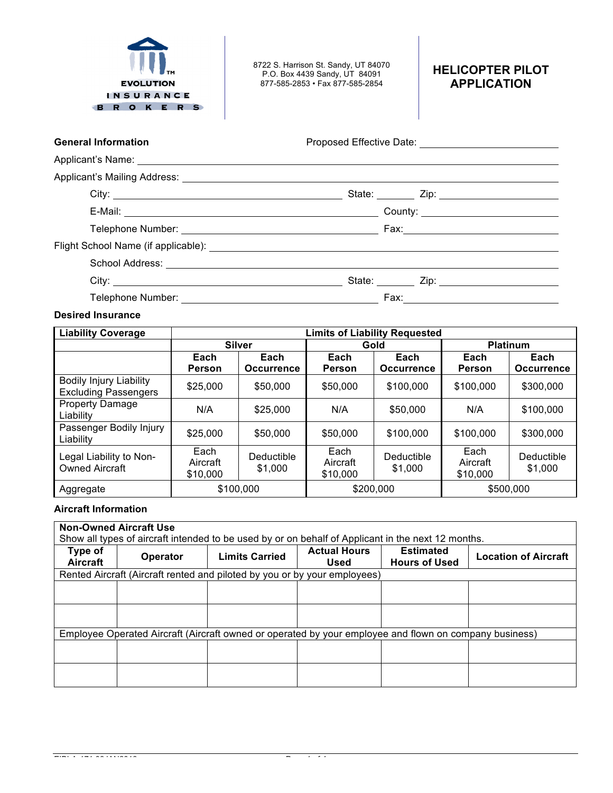

8722 S. Harrison St. Sandy, UT 84070 P.O. Box 4439 Sandy, UT 84091 877-585-2853 • Fax 877-585-2854

# **HELICOPTER PILOT APPLICATION**

General Information **General Information Proposed Effective Date:** 

| City: <u>the contract of the contract of the contract of the contract of the contract of the contract of the contract of the contract of the contract of the contract of the contract of the contract of the contract of the con</u> | State: Zip: 211. |
|--------------------------------------------------------------------------------------------------------------------------------------------------------------------------------------------------------------------------------------|------------------|
|                                                                                                                                                                                                                                      | Fax:             |

### **Desired Insurance**

| <b>Liability Coverage</b>                                     | <b>Limits of Liability Requested</b> |                           |                              |                           |                              |                           |
|---------------------------------------------------------------|--------------------------------------|---------------------------|------------------------------|---------------------------|------------------------------|---------------------------|
|                                                               | <b>Silver</b>                        |                           | Gold                         |                           | <b>Platinum</b>              |                           |
|                                                               | Each<br><b>Person</b>                | Each<br><b>Occurrence</b> | Each<br>Person               | Each<br><b>Occurrence</b> | Each<br>Person               | Each<br><b>Occurrence</b> |
| <b>Bodily Injury Liability</b><br><b>Excluding Passengers</b> | \$25,000                             | \$50,000                  | \$50,000                     | \$100,000                 | \$100,000                    | \$300,000                 |
| <b>Property Damage</b><br>Liability                           | N/A                                  | \$25,000                  | N/A                          | \$50,000                  | N/A                          | \$100,000                 |
| Passenger Bodily Injury<br>Liability                          | \$25,000                             | \$50,000                  | \$50,000                     | \$100,000                 | \$100,000                    | \$300,000                 |
| Legal Liability to Non-<br><b>Owned Aircraft</b>              | Each<br>Aircraft<br>\$10,000         | Deductible<br>\$1,000     | Each<br>Aircraft<br>\$10,000 | Deductible<br>\$1,000     | Each<br>Aircraft<br>\$10,000 | Deductible<br>\$1,000     |
| \$100,000<br>Aggregate                                        |                                      | \$200,000                 |                              | \$500,000                 |                              |                           |

## **Aircraft Information**

| <b>Non-Owned Aircraft Use</b><br>Show all types of aircraft intended to be used by or on behalf of Applicant in the next 12 months. |                                                                           |                       |                                    |                                          |                             |  |  |
|-------------------------------------------------------------------------------------------------------------------------------------|---------------------------------------------------------------------------|-----------------------|------------------------------------|------------------------------------------|-----------------------------|--|--|
| Type of<br>Aircraft                                                                                                                 | <b>Operator</b>                                                           | <b>Limits Carried</b> | <b>Actual Hours</b><br><b>Used</b> | <b>Estimated</b><br><b>Hours of Used</b> | <b>Location of Aircraft</b> |  |  |
|                                                                                                                                     | Rented Aircraft (Aircraft rented and piloted by you or by your employees) |                       |                                    |                                          |                             |  |  |
|                                                                                                                                     |                                                                           |                       |                                    |                                          |                             |  |  |
|                                                                                                                                     |                                                                           |                       |                                    |                                          |                             |  |  |
|                                                                                                                                     |                                                                           |                       |                                    |                                          |                             |  |  |
|                                                                                                                                     |                                                                           |                       |                                    |                                          |                             |  |  |
| Employee Operated Aircraft (Aircraft owned or operated by your employee and flown on company business)                              |                                                                           |                       |                                    |                                          |                             |  |  |
|                                                                                                                                     |                                                                           |                       |                                    |                                          |                             |  |  |
|                                                                                                                                     |                                                                           |                       |                                    |                                          |                             |  |  |
|                                                                                                                                     |                                                                           |                       |                                    |                                          |                             |  |  |
|                                                                                                                                     |                                                                           |                       |                                    |                                          |                             |  |  |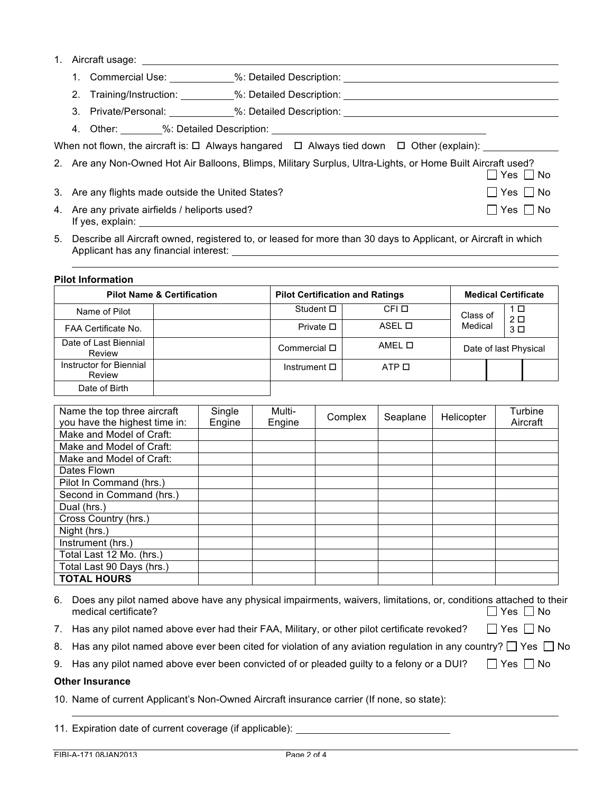1. Aircraft usage:

|  |  | 1. Commercial Use: | %: Detailed Description: |  |
|--|--|--------------------|--------------------------|--|
|--|--|--------------------|--------------------------|--|

2. Training/Instruction: %: Detailed Description:

3. Private/Personal: %: Detailed Description:

4. Other: %: Detailed Description:

When not flown, the aircraft is:  $\Box$  Always hangared  $\Box$  Always tied down  $\Box$  Other (explain):

| 2. Are any Non-Owned Hot Air Balloons, Blimps, Military Surplus, Ultra-Lights, or Home Built Aircraft used? |                      |
|-------------------------------------------------------------------------------------------------------------|----------------------|
|                                                                                                             | $\Box$ Yes $\Box$ No |
| 3. Are any flights made outside the United States?                                                          | $\Box$ Yes $\Box$ No |

- 4. Are any private airfields / heliports used?  $\Box$  Yes  $\Box$  No If yes, explain:
- 5. Describe all Aircraft owned, registered to, or leased for more than 30 days to Applicant, or Aircraft in which Applicant has any financial interest:

#### **Pilot Information**

|                                   | <b>Pilot Name &amp; Certification</b> |                      | <b>Pilot Certification and Ratings</b> |          | <b>Medical Certificate</b> |                                  |  |
|-----------------------------------|---------------------------------------|----------------------|----------------------------------------|----------|----------------------------|----------------------------------|--|
| Name of Pilot                     |                                       | Student $\square$    | CFI O                                  | Class of | 1 □                        |                                  |  |
| FAA Certificate No.               |                                       | Private $\square$    | ASEL O                                 | Medical  |                            | 2 <sub>D</sub><br>3 <sup>D</sup> |  |
| Date of Last Biennial<br>Review   |                                       | Commercial □         | AMEL O                                 |          |                            | Date of last Physical            |  |
| Instructor for Biennial<br>Review |                                       | Instrument $\square$ | ATP O                                  |          |                            |                                  |  |
| Date of Birth                     |                                       |                      |                                        |          |                            |                                  |  |

| Name the top three aircraft   | Single | Multi- | Complex | Seaplane | Helicopter | Turbine  |
|-------------------------------|--------|--------|---------|----------|------------|----------|
| you have the highest time in: | Engine | Engine |         |          |            | Aircraft |
| Make and Model of Craft:      |        |        |         |          |            |          |
| Make and Model of Craft:      |        |        |         |          |            |          |
| Make and Model of Craft:      |        |        |         |          |            |          |
| Dates Flown                   |        |        |         |          |            |          |
| Pilot In Command (hrs.)       |        |        |         |          |            |          |
| Second in Command (hrs.)      |        |        |         |          |            |          |
| Dual (hrs.)                   |        |        |         |          |            |          |
| Cross Country (hrs.)          |        |        |         |          |            |          |
| Night (hrs.)                  |        |        |         |          |            |          |
| Instrument (hrs.)             |        |        |         |          |            |          |
| Total Last 12 Mo. (hrs.)      |        |        |         |          |            |          |
| Total Last 90 Days (hrs.)     |        |        |         |          |            |          |
| <b>TOTAL HOURS</b>            |        |        |         |          |            |          |

| 6. Does any pilot named above have any physical impairments, waivers, limitations, or, conditions attached to their |                      |
|---------------------------------------------------------------------------------------------------------------------|----------------------|
| medical certificate?                                                                                                | $\Box$ Yes $\Box$ No |

- 7. Has any pilot named above ever had their FAA, Military, or other pilot certificate revoked?  $\Box$  Yes  $\Box$  No
- 8. Has any pilot named above ever been cited for violation of any aviation regulation in any country?  $\Box$  Yes  $\Box$  No
- 9. Has any pilot named above ever been convicted of or pleaded guilty to a felony or a DUI?  $\Box$  Yes  $\Box$  No

### **Other Insurance**

10. Name of current Applicant's Non-Owned Aircraft insurance carrier (If none, so state):

11. Expiration date of current coverage (if applicable):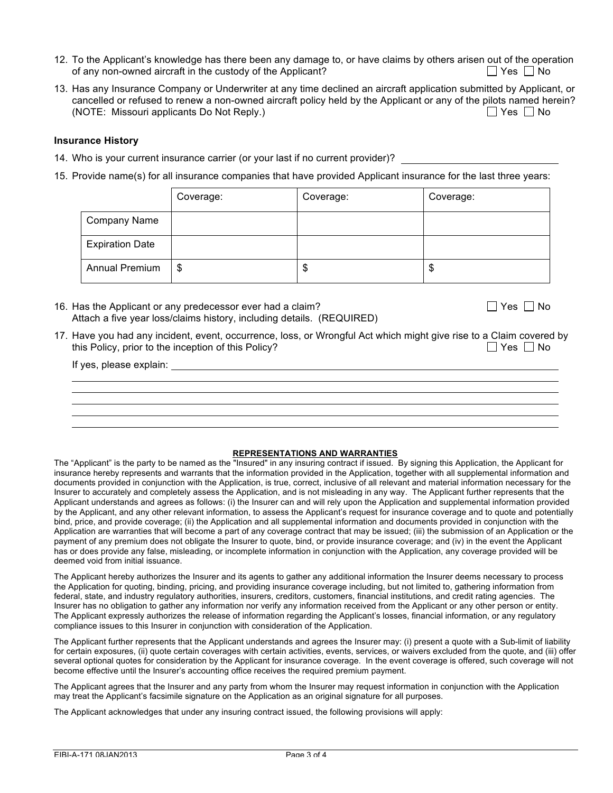- 12. To the Applicant's knowledge has there been any damage to, or have claims by others arisen out of the operation of any non-owned aircraft in the custody of the Applicant?  $\Box$  Yes  $\Box$  Yes  $\Box$  No
- 13. Has any Insurance Company or Underwriter at any time declined an aircraft application submitted by Applicant, or cancelled or refused to renew a non-owned aircraft policy held by the Applicant or any of the pilots named herein? (NOTE: Missouri applicants Do Not Reply.)  $\Box$  Yes  $\Box$  No

#### **Insurance History**

- 14. Who is your current insurance carrier (or your last if no current provider)?
- 15. Provide name(s) for all insurance companies that have provided Applicant insurance for the last three years:

|                        | Coverage: | Coverage: | Coverage: |
|------------------------|-----------|-----------|-----------|
| Company Name           |           |           |           |
| <b>Expiration Date</b> |           |           |           |
| Annual Premium         | \$        | \$        | \$        |

16. Has the Applicant or any predecessor ever had a claim?  $\Box$  Yes  $\Box$  Yes  $\Box$  No Attach a five year loss/claims history, including details. (REQUIRED)

17. Have you had any incident, event, occurrence, loss, or Wrongful Act which might give rise to a Claim covered by this Policy, prior to the inception of this Policy?  $\Box$  Yes  $\Box$  No

If yes, please explain:

#### **REPRESENTATIONS AND WARRANTIES**

The "Applicant" is the party to be named as the "Insured" in any insuring contract if issued. By signing this Application, the Applicant for insurance hereby represents and warrants that the information provided in the Application, together with all supplemental information and documents provided in conjunction with the Application, is true, correct, inclusive of all relevant and material information necessary for the Insurer to accurately and completely assess the Application, and is not misleading in any way. The Applicant further represents that the Applicant understands and agrees as follows: (i) the Insurer can and will rely upon the Application and supplemental information provided by the Applicant, and any other relevant information, to assess the Applicant's request for insurance coverage and to quote and potentially bind, price, and provide coverage; (ii) the Application and all supplemental information and documents provided in conjunction with the Application are warranties that will become a part of any coverage contract that may be issued; (iii) the submission of an Application or the payment of any premium does not obligate the Insurer to quote, bind, or provide insurance coverage; and (iv) in the event the Applicant has or does provide any false, misleading, or incomplete information in conjunction with the Application, any coverage provided will be deemed void from initial issuance.

The Applicant hereby authorizes the Insurer and its agents to gather any additional information the Insurer deems necessary to process the Application for quoting, binding, pricing, and providing insurance coverage including, but not limited to, gathering information from federal, state, and industry regulatory authorities, insurers, creditors, customers, financial institutions, and credit rating agencies. The Insurer has no obligation to gather any information nor verify any information received from the Applicant or any other person or entity. The Applicant expressly authorizes the release of information regarding the Applicant's losses, financial information, or any regulatory compliance issues to this Insurer in conjunction with consideration of the Application.

The Applicant further represents that the Applicant understands and agrees the Insurer may: (i) present a quote with a Sub-limit of liability for certain exposures, (ii) quote certain coverages with certain activities, events, services, or waivers excluded from the quote, and (iii) offer several optional quotes for consideration by the Applicant for insurance coverage. In the event coverage is offered, such coverage will not become effective until the Insurer's accounting office receives the required premium payment.

The Applicant agrees that the Insurer and any party from whom the Insurer may request information in conjunction with the Application may treat the Applicant's facsimile signature on the Application as an original signature for all purposes.

The Applicant acknowledges that under any insuring contract issued, the following provisions will apply: